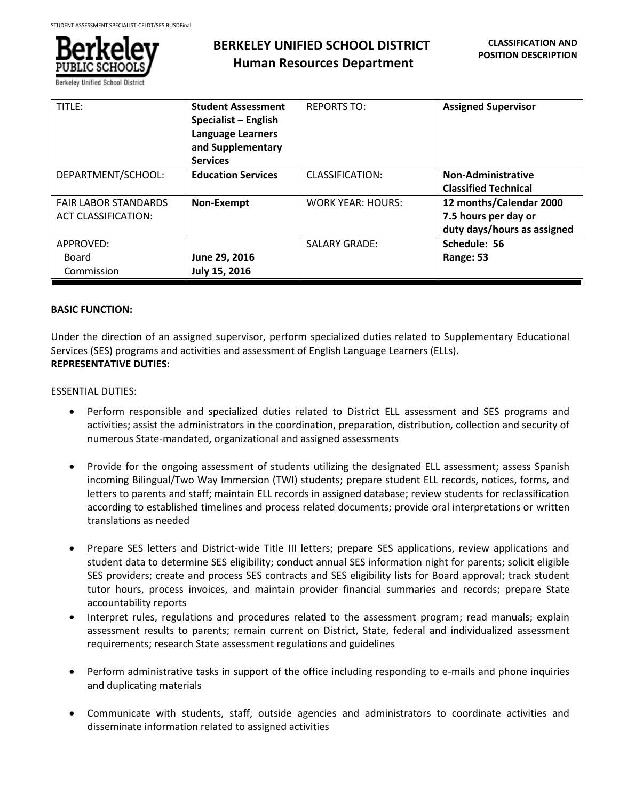

# **BERKELEY UNIFIED SCHOOL DISTRICT Human Resources Department**

| TITLE:                                                    | <b>Student Assessment</b><br>Specialist - English<br><b>Language Learners</b><br>and Supplementary<br><b>Services</b> | <b>REPORTS TO:</b>       | <b>Assigned Supervisor</b>                                                     |
|-----------------------------------------------------------|-----------------------------------------------------------------------------------------------------------------------|--------------------------|--------------------------------------------------------------------------------|
| DEPARTMENT/SCHOOL:                                        | <b>Education Services</b>                                                                                             | CLASSIFICATION:          | <b>Non-Administrative</b><br><b>Classified Technical</b>                       |
| <b>FAIR LABOR STANDARDS</b><br><b>ACT CLASSIFICATION:</b> | Non-Exempt                                                                                                            | <b>WORK YEAR: HOURS:</b> | 12 months/Calendar 2000<br>7.5 hours per day or<br>duty days/hours as assigned |
| APPROVED:<br>Board<br>Commission                          | June 29, 2016<br>July 15, 2016                                                                                        | <b>SALARY GRADE:</b>     | Schedule: 56<br>Range: 53                                                      |

## **BASIC FUNCTION:**

Under the direction of an assigned supervisor, perform specialized duties related to Supplementary Educational Services (SES) programs and activities and assessment of English Language Learners (ELLs). **REPRESENTATIVE DUTIES:**

# ESSENTIAL DUTIES:

- Perform responsible and specialized duties related to District ELL assessment and SES programs and activities; assist the administrators in the coordination, preparation, distribution, collection and security of numerous State-mandated, organizational and assigned assessments
- Provide for the ongoing assessment of students utilizing the designated ELL assessment; assess Spanish incoming Bilingual/Two Way Immersion (TWI) students; prepare student ELL records, notices, forms, and letters to parents and staff; maintain ELL records in assigned database; review students for reclassification according to established timelines and process related documents; provide oral interpretations or written translations as needed
- Prepare SES letters and District-wide Title III letters; prepare SES applications, review applications and student data to determine SES eligibility; conduct annual SES information night for parents; solicit eligible SES providers; create and process SES contracts and SES eligibility lists for Board approval; track student tutor hours, process invoices, and maintain provider financial summaries and records; prepare State accountability reports
- Interpret rules, regulations and procedures related to the assessment program; read manuals; explain assessment results to parents; remain current on District, State, federal and individualized assessment requirements; research State assessment regulations and guidelines
- Perform administrative tasks in support of the office including responding to e-mails and phone inquiries and duplicating materials
- Communicate with students, staff, outside agencies and administrators to coordinate activities and disseminate information related to assigned activities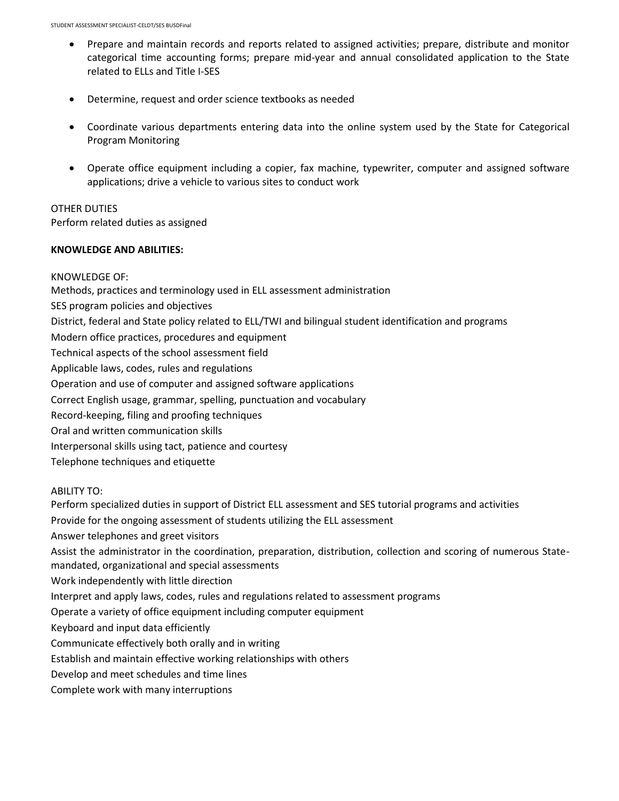- Prepare and maintain records and reports related to assigned activities; prepare, distribute and monitor categorical time accounting forms; prepare mid-year and annual consolidated application to the State related to ELLs and Title I-SES
- Determine, request and order science textbooks as needed
- Coordinate various departments entering data into the online system used by the State for Categorical Program Monitoring
- Operate office equipment including a copier, fax machine, typewriter, computer and assigned software applications; drive a vehicle to various sites to conduct work

# OTHER DUTIES

Perform related duties as assigned

## **KNOWLEDGE AND ABILITIES:**

KNOWLEDGE OF: Methods, practices and terminology used in ELL assessment administration SES program policies and objectives District, federal and State policy related to ELL/TWI and bilingual student identification and programs Modern office practices, procedures and equipment Technical aspects of the school assessment field Applicable laws, codes, rules and regulations Operation and use of computer and assigned software applications Correct English usage, grammar, spelling, punctuation and vocabulary Record-keeping, filing and proofing techniques Oral and written communication skills Interpersonal skills using tact, patience and courtesy Telephone techniques and etiquette

ABILITY TO:

Perform specialized duties in support of District ELL assessment and SES tutorial programs and activities Provide for the ongoing assessment of students utilizing the ELL assessment Answer telephones and greet visitors Assist the administrator in the coordination, preparation, distribution, collection and scoring of numerous Statemandated, organizational and special assessments Work independently with little direction Interpret and apply laws, codes, rules and regulations related to assessment programs Operate a variety of office equipment including computer equipment Keyboard and input data efficiently Communicate effectively both orally and in writing Establish and maintain effective working relationships with others Develop and meet schedules and time lines Complete work with many interruptions